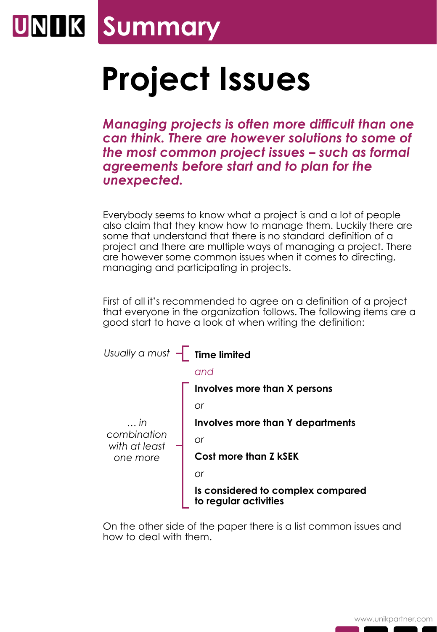## **UNIK Summary**

## **Project Issues**

*Managing projects is often more difficult than one can think. There are however solutions to some of the most common project issues – such as formal agreements before start and to plan for the unexpected.*

Everybody seems to know what a project is and a lot of people also claim that they know how to manage them. Luckily there are some that understand that there is no standard definition of a project and there are multiple ways of managing a project. There are however some common issues when it comes to directing, managing and participating in projects.

First of all it's recommended to agree on a definition of a project that everyone in the organization follows. The following items are a good start to have a look at when writing the definition:



On the other side of the paper there is a list common issues and how to deal with them.